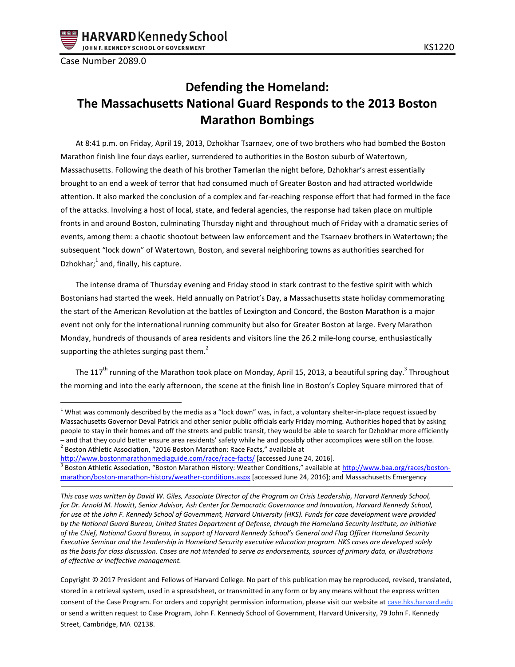

Case Number 2089.0

 $\overline{a}$ 

# **Defending the Homeland: The Massachusetts National Guard Responds to the 2013 Boston Marathon Bombings**

At 8:41 p.m. on Friday, April 19, 2013, Dzhokhar Tsarnaev, one of two brothers who had bombed the Boston Marathon finish line four days earlier, surrendered to authorities in the Boston suburb of Watertown, Massachusetts. Following the death of his brother Tamerlan the night before, Dzhokhar's arrest essentially brought to an end a week of terror that had consumed much of Greater Boston and had attracted worldwide attention. It also marked the conclusion of a complex and far-reaching response effort that had formed in the face of the attacks. Involving a host of local, state, and federal agencies, the response had taken place on multiple fronts in and around Boston, culminating Thursday night and throughout much of Friday with a dramatic series of events, among them: a chaotic shootout between law enforcement and the Tsarnaev brothers in Watertown; the subsequent "lock down" of Watertown, Boston, and several neighboring towns as authorities searched for Dzhokhar; $^1$  and, finally, his capture.

The intense drama of Thursday evening and Friday stood in stark contrast to the festive spirit with which Bostonians had started the week. Held annually on Patriot's Day, a Massachusetts state holiday commemorating the start of the American Revolution at the battles of Lexington and Concord, the Boston Marathon is a major event not only for the international running community but also for Greater Boston at large. Every Marathon Monday, hundreds of thousands of area residents and visitors line the 26.2 mile-long course, enthusiastically supporting the athletes surging past them.<sup>2</sup>

The 117<sup>th</sup> running of the Marathon took place on Monday, April 15, 2013, a beautiful spring day.<sup>3</sup> Throughout the morning and into the early afternoon, the scene at the finish line in Boston's Copley Square mirrored that of

<http://www.bostonmarathonmediaguide.com/race/race-facts/> [accessed June 24, 2016].

 $1$  What was commonly described by the media as a "lock down" was, in fact, a voluntary shelter-in-place request issued by Massachusetts Governor Deval Patrick and other senior public officials early Friday morning. Authorities hoped that by asking people to stay in their homes and off the streets and public transit, they would be able to search for Dzhokhar more efficiently – and that they could better ensure area residents' safety while he and possibly other accomplices were still on the loose.  $^2$  Boston Athletic Association, "2016 Boston Marathon: Race Facts," available at

<sup>&</sup>lt;sup>3</sup> Boston Athletic Association, "Boston Marathon History: Weather Conditions," available at <u>http://www.baa.org/races/boston-</u> [marathon/boston-marathon-history/weather-conditions.aspx](http://www.baa.org/races/boston-marathon/boston-marathon-history/weather-conditions.aspx) [accessed June 24, 2016]; and Massachusetts Emergency

*This case was written by David W. Giles, Associate Director of the Program on Crisis Leadership, Harvard Kennedy School, for Dr. Arnold M. Howitt, Senior Advisor, Ash Center for Democratic Governance and Innovation, Harvard Kennedy School, for use at the John F. Kennedy School of Government, Harvard University (HKS). Funds for case development were provided by the National Guard Bureau, United States Department of Defense, through the Homeland Security Institute, an initiative of the Chief, National Guard Bureau, in support of Harvard Kennedy School's General and Flag Officer Homeland Security Executive Seminar and the Leadership in Homeland Security executive education program. HKS cases are developed solely as the basis for class discussion. Cases are not intended to serve as endorsements, sources of primary data, or illustrations of effective or ineffective management.*

Copyright © 2017 President and Fellows of Harvard College. No part of this publication may be reproduced, revised, translated, stored in a retrieval system, used in a spreadsheet, or transmitted in any form or by any means without the express written consent of the Case Program. For orders and copyright permission information, please visit our website at case.hks.harvard.edu or send a written request to Case Program, John F. Kennedy School of Government, Harvard University, 79 John F. Kennedy Street, Cambridge, MA 02138.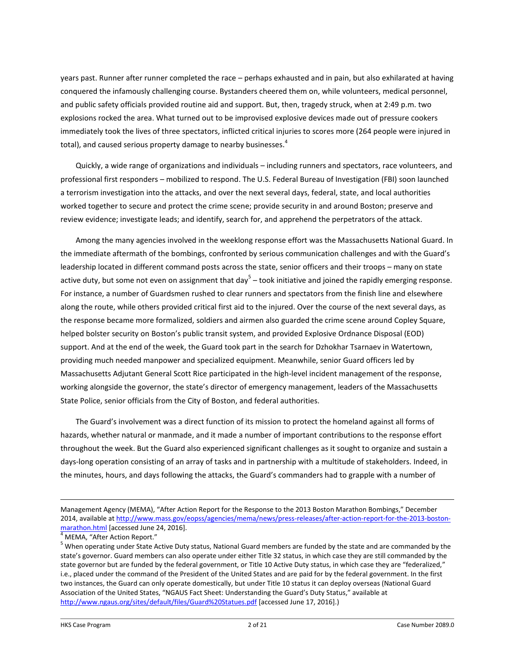years past. Runner after runner completed the race – perhaps exhausted and in pain, but also exhilarated at having conquered the infamously challenging course. Bystanders cheered them on, while volunteers, medical personnel, and public safety officials provided routine aid and support. But, then, tragedy struck, when at 2:49 p.m. two explosions rocked the area. What turned out to be improvised explosive devices made out of pressure cookers immediately took the lives of three spectators, inflicted critical injuries to scores more (264 people were injured in total), and caused serious property damage to nearby businesses.<sup>4</sup>

Quickly, a wide range of organizations and individuals – including runners and spectators, race volunteers, and professional first responders – mobilized to respond. The U.S. Federal Bureau of Investigation (FBI) soon launched a terrorism investigation into the attacks, and over the next several days, federal, state, and local authorities worked together to secure and protect the crime scene; provide security in and around Boston; preserve and review evidence; investigate leads; and identify, search for, and apprehend the perpetrators of the attack.

Among the many agencies involved in the weeklong response effort was the Massachusetts National Guard. In the immediate aftermath of the bombings, confronted by serious communication challenges and with the Guard's leadership located in different command posts across the state, senior officers and their troops – many on state active duty, but some not even on assignment that day<sup>5</sup> – took initiative and joined the rapidly emerging response. For instance, a number of Guardsmen rushed to clear runners and spectators from the finish line and elsewhere along the route, while others provided critical first aid to the injured. Over the course of the next several days, as the response became more formalized, soldiers and airmen also guarded the crime scene around Copley Square, helped bolster security on Boston's public transit system, and provided Explosive Ordnance Disposal (EOD) support. And at the end of the week, the Guard took part in the search for Dzhokhar Tsarnaev in Watertown, providing much needed manpower and specialized equipment. Meanwhile, senior Guard officers led by Massachusetts Adjutant General Scott Rice participated in the high-level incident management of the response, working alongside the governor, the state's director of emergency management, leaders of the Massachusetts State Police, senior officials from the City of Boston, and federal authorities.

The Guard's involvement was a direct function of its mission to protect the homeland against all forms of hazards, whether natural or manmade, and it made a number of important contributions to the response effort throughout the week. But the Guard also experienced significant challenges as it sought to organize and sustain a days-long operation consisting of an array of tasks and in partnership with a multitude of stakeholders. Indeed, in the minutes, hours, and days following the attacks, the Guard's commanders had to grapple with a number of

Management Agency (MEMA), "After Action Report for the Response to the 2013 Boston Marathon Bombings," December 2014, available a[t http://www.mass.gov/eopss/agencies/mema/news/press-releases/after-action-report-for-the-2013-boston](http://www.mass.gov/eopss/agencies/mema/news/press-releases/after-action-report-for-the-2013-boston-marathon.html)[marathon.html](http://www.mass.gov/eopss/agencies/mema/news/press-releases/after-action-report-for-the-2013-boston-marathon.html) [accessed June 24, 2016].

<sup>4</sup> MEMA, "After Action Report."

<sup>5</sup> When operating under State Active Duty status, National Guard members are funded by the state and are commanded by the state's governor. Guard members can also operate under either Title 32 status, in which case they are still commanded by the state governor but are funded by the federal government, or Title 10 Active Duty status, in which case they are "federalized," i.e., placed under the command of the President of the United States and are paid for by the federal government. In the first two instances, the Guard can only operate domestically, but under Title 10 status it can deploy overseas (National Guard Association of the United States, "NGAUS Fact Sheet: Understanding the Guard's Duty Status," available at <http://www.ngaus.org/sites/default/files/Guard%20Statues.pdf> [accessed June 17, 2016].)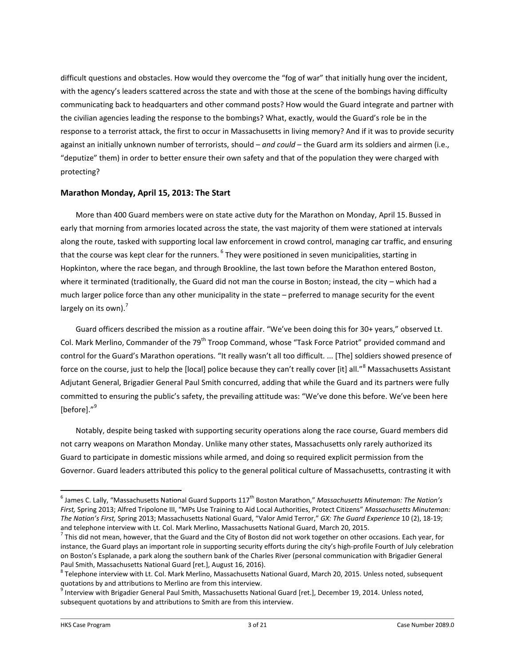difficult questions and obstacles. How would they overcome the "fog of war" that initially hung over the incident, with the agency's leaders scattered across the state and with those at the scene of the bombings having difficulty communicating back to headquarters and other command posts? How would the Guard integrate and partner with the civilian agencies leading the response to the bombings? What, exactly, would the Guard's role be in the response to a terrorist attack, the first to occur in Massachusetts in living memory? And if it was to provide security against an initially unknown number of terrorists, should – *and could* – the Guard arm its soldiers and airmen (i.e., "deputize" them) in order to better ensure their own safety and that of the population they were charged with protecting?

# **Marathon Monday, April 15, 2013: The Start**

More than 400 Guard members were on state active duty for the Marathon on Monday, April 15. Bussed in early that morning from armories located across the state, the vast majority of them were stationed at intervals along the route, tasked with supporting local law enforcement in crowd control, managing car traffic, and ensuring that the course was kept clear for the runners. <sup>6</sup> They were positioned in seven municipalities, starting in Hopkinton, where the race began, and through Brookline, the last town before the Marathon entered Boston, where it terminated (traditionally, the Guard did not man the course in Boston; instead, the city – which had a much larger police force than any other municipality in the state – preferred to manage security for the event largely on its own). $<sup>7</sup>$ </sup>

Guard officers described the mission as a routine affair. "We've been doing this for 30+ years," observed Lt. Col. Mark Merlino, Commander of the 79<sup>th</sup> Troop Command, whose "Task Force Patriot" provided command and control for the Guard's Marathon operations. "It really wasn't all too difficult. ... [The] soldiers showed presence of force on the course, just to help the [local] police because they can't really cover [it] all."<sup>8</sup> Massachusetts Assistant Adjutant General, Brigadier General Paul Smith concurred, adding that while the Guard and its partners were fully committed to ensuring the public's safety, the prevailing attitude was: "We've done this before. We've been here [before]."<sup>9</sup>

Notably, despite being tasked with supporting security operations along the race course, Guard members did not carry weapons on Marathon Monday. Unlike many other states, Massachusetts only rarely authorized its Guard to participate in domestic missions while armed, and doing so required explicit permission from the Governor. Guard leaders attributed this policy to the general political culture of Massachusetts, contrasting it with

<sup>&</sup>lt;sup>6</sup> James C. Lally, "Massachusetts National Guard Supports 117<sup>th</sup> Boston Marathon," *Massachusetts Minuteman: The Nation's First,* Spring 2013; Alfred Tripolone III, "MPs Use Training to Aid Local Authorities, Protect Citizens" *Massachusetts Minuteman: The Nation's First,* Spring 2013; Massachusetts National Guard, "Valor Amid Terror," *GX: The Guard Experience* 10 (2), 18-19; and telephone interview with Lt. Col. Mark Merlino, Massachusetts National Guard, March 20, 2015.

 $^7$  This did not mean, however, that the Guard and the City of Boston did not work together on other occasions. Each year, for instance, the Guard plays an important role in supporting security efforts during the city's high-profile Fourth of July celebration on Boston's Esplanade, a park along the southern bank of the Charles River (personal communication with Brigadier General Paul Smith, Massachusetts National Guard [ret.], August 16, 2016).

 $^8$  Telephone interview with Lt. Col. Mark Merlino, Massachusetts National Guard, March 20, 2015. Unless noted, subsequent quotations by and attributions to Merlino are from this interview.

<sup>&</sup>lt;sup>9</sup> Interview with Brigadier General Paul Smith, Massachusetts National Guard [ret.], December 19, 2014. Unless noted, subsequent quotations by and attributions to Smith are from this interview.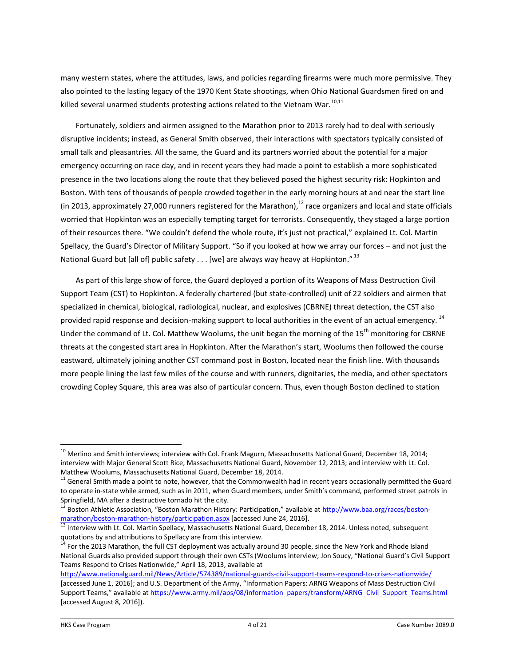many western states, where the attitudes, laws, and policies regarding firearms were much more permissive. They also pointed to the lasting legacy of the 1970 Kent State shootings, when Ohio National Guardsmen fired on and killed several unarmed students protesting actions related to the Vietnam War.<sup>10,11</sup>

Fortunately, soldiers and airmen assigned to the Marathon prior to 2013 rarely had to deal with seriously disruptive incidents; instead, as General Smith observed, their interactions with spectators typically consisted of small talk and pleasantries. All the same, the Guard and its partners worried about the potential for a major emergency occurring on race day, and in recent years they had made a point to establish a more sophisticated presence in the two locations along the route that they believed posed the highest security risk: Hopkinton and Boston. With tens of thousands of people crowded together in the early morning hours at and near the start line (in 2013, approximately 27,000 runners registered for the Marathon), $^{12}$  race organizers and local and state officials worried that Hopkinton was an especially tempting target for terrorists. Consequently, they staged a large portion of their resources there. "We couldn't defend the whole route, it's just not practical," explained Lt. Col. Martin Spellacy, the Guard's Director of Military Support. "So if you looked at how we array our forces – and not just the National Guard but [all of] public safety  $\dots$  [we] are always way heavy at Hopkinton."  $^{13}$ 

As part of this large show of force, the Guard deployed a portion of its Weapons of Mass Destruction Civil Support Team (CST) to Hopkinton. A federally chartered (but state-controlled) unit of 22 soldiers and airmen that specialized in chemical, biological, radiological, nuclear, and explosives (CBRNE) threat detection, the CST also provided rapid response and decision-making support to local authorities in the event of an actual emergency.<sup>14</sup> Under the command of Lt. Col. Matthew Woolums, the unit began the morning of the 15<sup>th</sup> monitoring for CBRNE threats at the congested start area in Hopkinton. After the Marathon's start, Woolums then followed the course eastward, ultimately joining another CST command post in Boston, located near the finish line. With thousands more people lining the last few miles of the course and with runners, dignitaries, the media, and other spectators crowding Copley Square, this area was also of particular concern. Thus, even though Boston declined to station

 $^{10}$  Merlino and Smith interviews; interview with Col. Frank Magurn, Massachusetts National Guard, December 18, 2014; interview with Major General Scott Rice, Massachusetts National Guard, November 12, 2013; and interview with Lt. Col. Matthew Woolums, Massachusetts National Guard, December 18, 2014.

 $11$  General Smith made a point to note, however, that the Commonwealth had in recent years occasionally permitted the Guard to operate in-state while armed, such as in 2011, when Guard members, under Smith's command, performed street patrols in Springfield, MA after a destructive tornado hit the city.

Boston Athletic Association, "Boston Marathon History: Participation," available at [http://www.baa.org/races/boston](http://www.baa.org/races/boston-marathon/boston-marathon-history/participation.aspx)[marathon/boston-marathon-history/participation.aspx](http://www.baa.org/races/boston-marathon/boston-marathon-history/participation.aspx) [accessed June 24, 2016].

<sup>&</sup>lt;sup>13</sup> Interview with Lt. Col. Martin Spellacy, Massachusetts National Guard, December 18, 2014. Unless noted, subsequent quotations by and attributions to Spellacy are from this interview.

<sup>&</sup>lt;sup>14</sup> For the 2013 Marathon, the full CST deployment was actually around 30 people, since the New York and Rhode Island National Guards also provided support through their own CSTs (Woolums interview; Jon Soucy, "National Guard's Civil Support Teams Respond to Crises Nationwide," April 18, 2013, available at

<http://www.nationalguard.mil/News/Article/574389/national-guards-civil-support-teams-respond-to-crises-nationwide/> [accessed June 1, 2016]; and U.S. Department of the Army, "Information Papers: ARNG Weapons of Mass Destruction Civil Support Teams," available at [https://www.army.mil/aps/08/information\\_papers/transform/ARNG\\_Civil\\_Support\\_Teams.html](https://www.army.mil/aps/08/information_papers/transform/ARNG_Civil_Support_Teams.html) [accessed August 8, 2016]).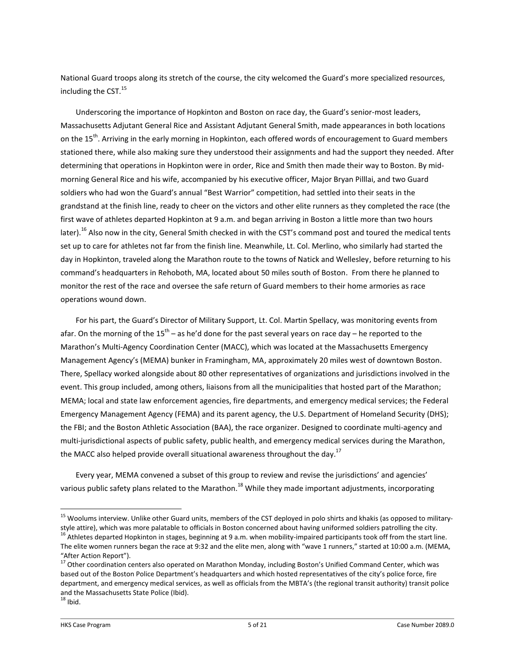National Guard troops along its stretch of the course, the city welcomed the Guard's more specialized resources, including the CST. 15

Underscoring the importance of Hopkinton and Boston on race day, the Guard's senior-most leaders, Massachusetts Adjutant General Rice and Assistant Adjutant General Smith, made appearances in both locations on the 15<sup>th</sup>. Arriving in the early morning in Hopkinton, each offered words of encouragement to Guard members stationed there, while also making sure they understood their assignments and had the support they needed. After determining that operations in Hopkinton were in order, Rice and Smith then made their way to Boston. By midmorning General Rice and his wife, accompanied by his executive officer, Major Bryan Pilllai, and two Guard soldiers who had won the Guard's annual "Best Warrior" competition, had settled into their seats in the grandstand at the finish line, ready to cheer on the victors and other elite runners as they completed the race (the first wave of athletes departed Hopkinton at 9 a.m. and began arriving in Boston a little more than two hours later).<sup>16</sup> Also now in the city, General Smith checked in with the CST's command post and toured the medical tents set up to care for athletes not far from the finish line. Meanwhile, Lt. Col. Merlino, who similarly had started the day in Hopkinton, traveled along the Marathon route to the towns of Natick and Wellesley, before returning to his command's headquarters in Rehoboth, MA, located about 50 miles south of Boston. From there he planned to monitor the rest of the race and oversee the safe return of Guard members to their home armories as race operations wound down.

For his part, the Guard's Director of Military Support, Lt. Col. Martin Spellacy, was monitoring events from afar. On the morning of the 15<sup>th</sup> – as he'd done for the past several years on race day – he reported to the Marathon's Multi-Agency Coordination Center (MACC), which was located at the Massachusetts Emergency Management Agency's (MEMA) bunker in Framingham, MA, approximately 20 miles west of downtown Boston. There, Spellacy worked alongside about 80 other representatives of organizations and jurisdictions involved in the event. This group included, among others, liaisons from all the municipalities that hosted part of the Marathon; MEMA; local and state law enforcement agencies, fire departments, and emergency medical services; the Federal Emergency Management Agency (FEMA) and its parent agency, the U.S. Department of Homeland Security (DHS); the FBI; and the Boston Athletic Association (BAA), the race organizer. Designed to coordinate multi-agency and multi-jurisdictional aspects of public safety, public health, and emergency medical services during the Marathon, the MACC also helped provide overall situational awareness throughout the day.<sup>17</sup>

Every year, MEMA convened a subset of this group to review and revise the jurisdictions' and agencies' various public safety plans related to the Marathon.<sup>18</sup> While they made important adjustments, incorporating

<sup>&</sup>lt;sup>15</sup> Woolums interview. Unlike other Guard units, members of the CST deployed in polo shirts and khakis (as opposed to militarystyle attire), which was more palatable to officials in Boston concerned about having uniformed soldiers patrolling the city. <sup>16</sup> Athletes departed Hopkinton in stages, beginning at 9 a.m. when mobility-impaired participants took off from the start line. The elite women runners began the race at 9:32 and the elite men, along with "wave 1 runners," started at 10:00 a.m. (MEMA, "After Action Report").

<sup>&</sup>lt;sup>17</sup> Other coordination centers also operated on Marathon Monday, including Boston's Unified Command Center, which was based out of the Boston Police Department's headquarters and which hosted representatives of the city's police force, fire department, and emergency medical services, as well as officials from the MBTA's (the regional transit authority) transit police and the Massachusetts State Police (Ibid).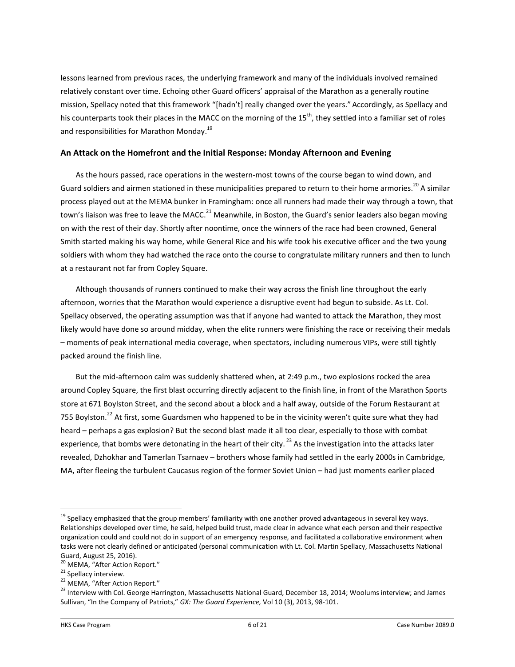lessons learned from previous races, the underlying framework and many of the individuals involved remained relatively constant over time. Echoing other Guard officers' appraisal of the Marathon as a generally routine mission, Spellacy noted that this framework "[hadn't] really changed over the years." Accordingly, as Spellacy and his counterparts took their places in the MACC on the morning of the 15<sup>th</sup>, they settled into a familiar set of roles and responsibilities for Marathon Monday.<sup>19</sup>

# **An Attack on the Homefront and the Initial Response: Monday Afternoon and Evening**

As the hours passed, race operations in the western-most towns of the course began to wind down, and Guard soldiers and airmen stationed in these municipalities prepared to return to their home armories.<sup>20</sup> A similar process played out at the MEMA bunker in Framingham: once all runners had made their way through a town, that town's liaison was free to leave the MACC.<sup>21</sup> Meanwhile, in Boston, the Guard's senior leaders also began moving on with the rest of their day. Shortly after noontime, once the winners of the race had been crowned, General Smith started making his way home, while General Rice and his wife took his executive officer and the two young soldiers with whom they had watched the race onto the course to congratulate military runners and then to lunch at a restaurant not far from Copley Square.

Although thousands of runners continued to make their way across the finish line throughout the early afternoon, worries that the Marathon would experience a disruptive event had begun to subside. As Lt. Col. Spellacy observed, the operating assumption was that if anyone had wanted to attack the Marathon, they most likely would have done so around midday, when the elite runners were finishing the race or receiving their medals – moments of peak international media coverage, when spectators, including numerous VIPs, were still tightly packed around the finish line.

But the mid-afternoon calm was suddenly shattered when, at 2:49 p.m., two explosions rocked the area around Copley Square, the first blast occurring directly adjacent to the finish line, in front of the Marathon Sports store at 671 Boylston Street, and the second about a block and a half away, outside of the Forum Restaurant at 755 Boylston.<sup>22</sup> At first, some Guardsmen who happened to be in the vicinity weren't quite sure what they had heard – perhaps a gas explosion? But the second blast made it all too clear, especially to those with combat experience, that bombs were detonating in the heart of their city.<sup>23</sup> As the investigation into the attacks later revealed, Dzhokhar and Tamerlan Tsarnaev – brothers whose family had settled in the early 2000s in Cambridge, MA, after fleeing the turbulent Caucasus region of the former Soviet Union – had just moments earlier placed

 $19$  Spellacy emphasized that the group members' familiarity with one another proved advantageous in several key ways. Relationships developed over time, he said, helped build trust, made clear in advance what each person and their respective organization could and could not do in support of an emergency response, and facilitated a collaborative environment when tasks were not clearly defined or anticipated (personal communication with Lt. Col. Martin Spellacy, Massachusetts National Guard, August 25, 2016).

<sup>&</sup>lt;sup>20</sup> MEMA, "After Action Report."

<sup>&</sup>lt;sup>21</sup> Spellacy interview.

<sup>&</sup>lt;sup>22</sup> MEMA, "After Action Report."

<sup>&</sup>lt;sup>23</sup> Interview with Col. George Harrington, Massachusetts National Guard, December 18, 2014; Woolums interview; and James Sullivan, "In the Company of Patriots," *GX: The Guard Experience,* Vol 10 (3), 2013, 98-101.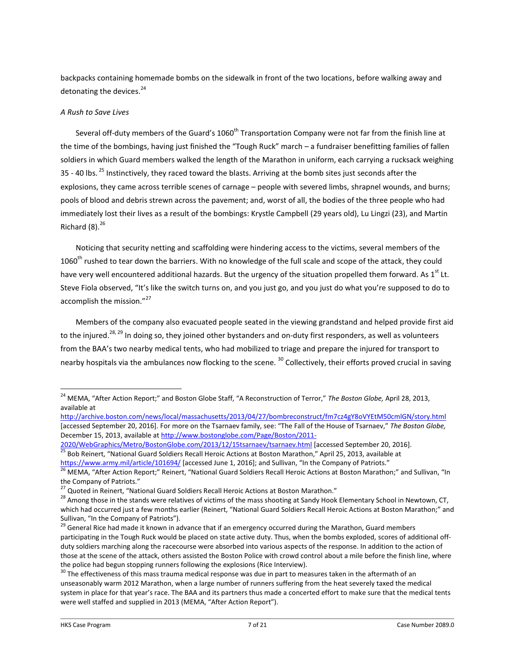backpacks containing homemade bombs on the sidewalk in front of the two locations, before walking away and detonating the devices.<sup>24</sup>

# *A Rush to Save Lives*

Several off-duty members of the Guard's 1060<sup>th</sup> Transportation Company were not far from the finish line at the time of the bombings, having just finished the "Tough Ruck" march – a fundraiser benefitting families of fallen soldiers in which Guard members walked the length of the Marathon in uniform, each carrying a rucksack weighing 35 - 40 lbs. <sup>25</sup> Instinctively, they raced toward the blasts. Arriving at the bomb sites just seconds after the explosions, they came across terrible scenes of carnage – people with severed limbs, shrapnel wounds, and burns; pools of blood and debris strewn across the pavement; and, worst of all, the bodies of the three people who had immediately lost their lives as a result of the bombings: Krystle Campbell (29 years old), Lu Lingzi (23), and Martin Richard  $(8).^{26}$ 

Noticing that security netting and scaffolding were hindering access to the victims, several members of the 1060<sup>th</sup> rushed to tear down the barriers. With no knowledge of the full scale and scope of the attack, they could have very well encountered additional hazards. But the urgency of the situation propelled them forward. As 1<sup>st</sup> Lt. Steve Fiola observed, "It's like the switch turns on, and you just go, and you just do what you're supposed to do to accomplish the mission."<sup>27</sup>

Members of the company also evacuated people seated in the viewing grandstand and helped provide first aid to the injured.<sup>28, 29</sup> In doing so, they joined other bystanders and on-duty first responders, as well as volunteers from the BAA's two nearby medical tents, who had mobilized to triage and prepare the injured for transport to nearby hospitals via the ambulances now flocking to the scene. <sup>30</sup> Collectively, their efforts proved crucial in saving

<sup>24</sup> MEMA, "After Action Report;" and Boston Globe Staff, "A Reconstruction of Terror," *The Boston Globe,* April 28, 2013, available at

<http://archive.boston.com/news/local/massachusetts/2013/04/27/bombreconstruct/fm7cz4gY8oVYEtM50cmlGN/story.html> [accessed September 20, 2016]. For more on the Tsarnaev family, see: "The Fall of the House of Tsarnaev," *The Boston Globe,*  December 15, 2013, available a[t http://www.bostonglobe.com/Page/Boston/2011-](http://www.bostonglobe.com/Page/Boston/2011-2020/WebGraphics/Metro/BostonGlobe.com/2013/12/15tsarnaev/tsarnaev.html)

[<sup>2020/</sup>WebGraphics/Metro/BostonGlobe.com/2013/12/15tsarnaev/tsarnaev.html](http://www.bostonglobe.com/Page/Boston/2011-2020/WebGraphics/Metro/BostonGlobe.com/2013/12/15tsarnaev/tsarnaev.html) [accessed September 20, 2016]. <sup>25</sup> Bob Reinert, "National Guard Soldiers Recall Heroic Actions at Boston Marathon," April 25, 2013, available at

<https://www.army.mil/article/101694/> [accessed June 1, 2016]; and Sullivan, "In the Company of Patriots." <sup>26</sup> MEMA, "After Action Report;" Reinert, "National Guard Soldiers Recall Heroic Actions at Boston Marathon;" and Sullivan, "In

the Company of Patriots."

<sup>&</sup>lt;sup>27</sup> Quoted in Reinert, "National Guard Soldiers Recall Heroic Actions at Boston Marathon."

<sup>&</sup>lt;sup>28</sup> Among those in the stands were relatives of victims of the mass shooting at Sandy Hook Elementary School in Newtown, CT, which had occurred just a few months earlier (Reinert, "National Guard Soldiers Recall Heroic Actions at Boston Marathon;" and Sullivan, "In the Company of Patriots").

<sup>&</sup>lt;sup>29</sup> General Rice had made it known in advance that if an emergency occurred during the Marathon, Guard members participating in the Tough Ruck would be placed on state active duty. Thus, when the bombs exploded, scores of additional offduty soldiers marching along the racecourse were absorbed into various aspects of the response. In addition to the action of those at the scene of the attack, others assisted the Boston Police with crowd control about a mile before the finish line, where the police had begun stopping runners following the explosions (Rice Interview).

 $30$  The effectiveness of this mass trauma medical response was due in part to measures taken in the aftermath of an unseasonably warm 2012 Marathon, when a large number of runners suffering from the heat severely taxed the medical system in place for that year's race. The BAA and its partners thus made a concerted effort to make sure that the medical tents were well staffed and supplied in 2013 (MEMA, "After Action Report").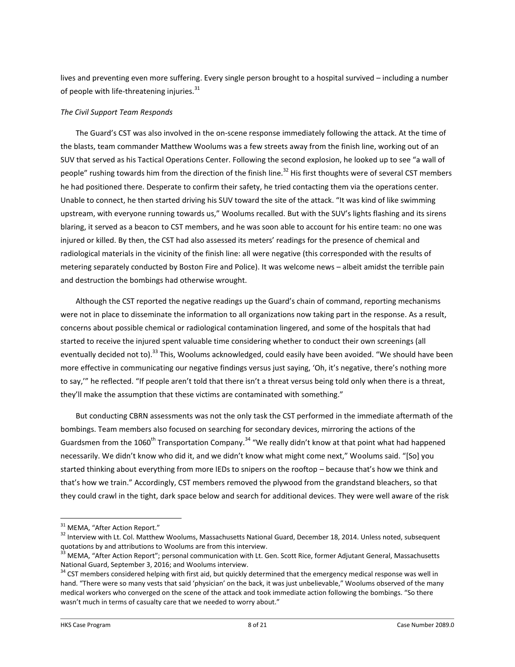lives and preventing even more suffering. Every single person brought to a hospital survived – including a number of people with life-threatening injuries. $31$ 

# *The Civil Support Team Responds*

The Guard's CST was also involved in the on-scene response immediately following the attack. At the time of the blasts, team commander Matthew Woolums was a few streets away from the finish line, working out of an SUV that served as his Tactical Operations Center. Following the second explosion, he looked up to see "a wall of people" rushing towards him from the direction of the finish line.<sup>32</sup> His first thoughts were of several CST members he had positioned there. Desperate to confirm their safety, he tried contacting them via the operations center. Unable to connect, he then started driving his SUV toward the site of the attack. "It was kind of like swimming upstream, with everyone running towards us," Woolums recalled. But with the SUV's lights flashing and its sirens blaring, it served as a beacon to CST members, and he was soon able to account for his entire team: no one was injured or killed. By then, the CST had also assessed its meters' readings for the presence of chemical and radiological materials in the vicinity of the finish line: all were negative (this corresponded with the results of metering separately conducted by Boston Fire and Police). It was welcome news – albeit amidst the terrible pain and destruction the bombings had otherwise wrought.

Although the CST reported the negative readings up the Guard's chain of command, reporting mechanisms were not in place to disseminate the information to all organizations now taking part in the response. As a result, concerns about possible chemical or radiological contamination lingered, and some of the hospitals that had started to receive the injured spent valuable time considering whether to conduct their own screenings (all eventually decided not to).<sup>33</sup> This, Woolums acknowledged, could easily have been avoided. "We should have been more effective in communicating our negative findings versus just saying, 'Oh, it's negative, there's nothing more to say,'" he reflected. "If people aren't told that there isn't a threat versus being told only when there is a threat, they'll make the assumption that these victims are contaminated with something."

But conducting CBRN assessments was not the only task the CST performed in the immediate aftermath of the bombings. Team members also focused on searching for secondary devices, mirroring the actions of the Guardsmen from the 1060<sup>th</sup> Transportation Company.<sup>34</sup> "We really didn't know at that point what had happened necessarily. We didn't know who did it, and we didn't know what might come next," Woolums said. "[So] you started thinking about everything from more IEDs to snipers on the rooftop – because that's how we think and that's how we train." Accordingly, CST members removed the plywood from the grandstand bleachers, so that they could crawl in the tight, dark space below and search for additional devices. They were well aware of the risk

<sup>&</sup>lt;sup>31</sup> MEMA, "After Action Report."

<sup>&</sup>lt;sup>32</sup> Interview with Lt. Col. Matthew Woolums, Massachusetts National Guard, December 18, 2014. Unless noted, subsequent quotations by and attributions to Woolums are from this interview.

<sup>&</sup>lt;sup>33</sup> MEMA, "After Action Report"; personal communication with Lt. Gen. Scott Rice, former Adjutant General, Massachusetts National Guard, September 3, 2016; and Woolums interview.

<sup>&</sup>lt;sup>34</sup> CST members considered helping with first aid, but quickly determined that the emergency medical response was well in hand. "There were so many vests that said 'physician' on the back, it was just unbelievable," Woolums observed of the many medical workers who converged on the scene of the attack and took immediate action following the bombings. "So there wasn't much in terms of casualty care that we needed to worry about."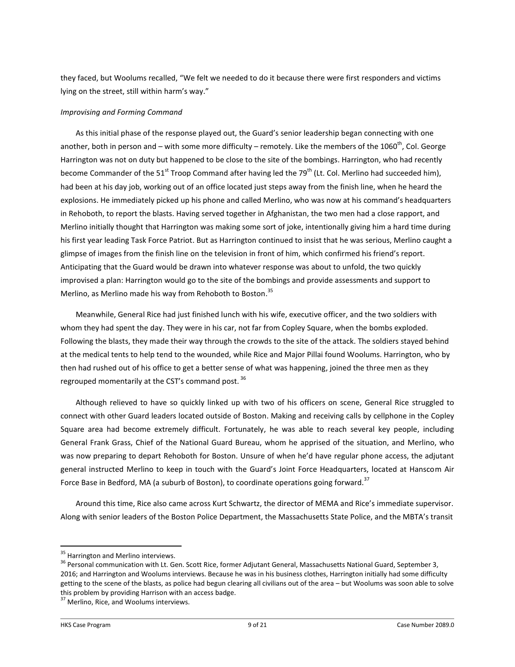they faced, but Woolums recalled, "We felt we needed to do it because there were first responders and victims lying on the street, still within harm's way."

# *Improvising and Forming Command*

As this initial phase of the response played out, the Guard's senior leadership began connecting with one another, both in person and – with some more difficulty – remotely. Like the members of the 1060<sup>th</sup>, Col. George Harrington was not on duty but happened to be close to the site of the bombings. Harrington, who had recently become Commander of the 51<sup>st</sup> Troop Command after having led the 79<sup>th</sup> (Lt. Col. Merlino had succeeded him), had been at his day job, working out of an office located just steps away from the finish line, when he heard the explosions. He immediately picked up his phone and called Merlino, who was now at his command's headquarters in Rehoboth, to report the blasts. Having served together in Afghanistan, the two men had a close rapport, and Merlino initially thought that Harrington was making some sort of joke, intentionally giving him a hard time during his first year leading Task Force Patriot. But as Harrington continued to insist that he was serious, Merlino caught a glimpse of images from the finish line on the television in front of him, which confirmed his friend's report. Anticipating that the Guard would be drawn into whatever response was about to unfold, the two quickly improvised a plan: Harrington would go to the site of the bombings and provide assessments and support to Merlino, as Merlino made his way from Rehoboth to Boston.<sup>35</sup>

Meanwhile, General Rice had just finished lunch with his wife, executive officer, and the two soldiers with whom they had spent the day. They were in his car, not far from Copley Square, when the bombs exploded. Following the blasts, they made their way through the crowds to the site of the attack. The soldiers stayed behind at the medical tents to help tend to the wounded, while Rice and Major Pillai found Woolums. Harrington, who by then had rushed out of his office to get a better sense of what was happening, joined the three men as they regrouped momentarily at the CST's command post. <sup>36</sup>

Although relieved to have so quickly linked up with two of his officers on scene, General Rice struggled to connect with other Guard leaders located outside of Boston. Making and receiving calls by cellphone in the Copley Square area had become extremely difficult. Fortunately, he was able to reach several key people, including General Frank Grass, Chief of the National Guard Bureau, whom he apprised of the situation, and Merlino, who was now preparing to depart Rehoboth for Boston. Unsure of when he'd have regular phone access, the adjutant general instructed Merlino to keep in touch with the Guard's Joint Force Headquarters, located at Hanscom Air Force Base in Bedford, MA (a suburb of Boston), to coordinate operations going forward.<sup>37</sup>

Around this time, Rice also came across Kurt Schwartz, the director of MEMA and Rice's immediate supervisor. Along with senior leaders of the Boston Police Department, the Massachusetts State Police, and the MBTA's transit

<sup>&</sup>lt;sup>35</sup> Harrington and Merlino interviews.

<sup>&</sup>lt;sup>36</sup> Personal communication with Lt. Gen. Scott Rice, former Adjutant General, Massachusetts National Guard, September 3, 2016; and Harrington and Woolums interviews. Because he was in his business clothes, Harrington initially had some difficulty getting to the scene of the blasts, as police had begun clearing all civilians out of the area – but Woolums was soon able to solve this problem by providing Harrison with an access badge.

<sup>&</sup>lt;sup>37</sup> Merlino, Rice, and Woolums interviews.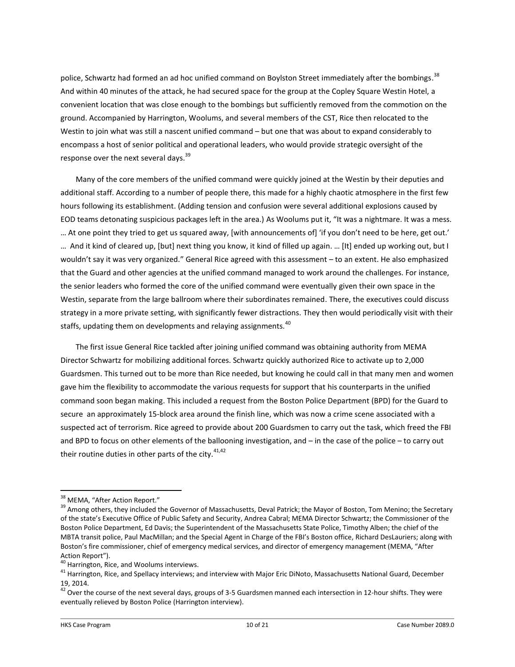police, Schwartz had formed an ad hoc unified command on Boylston Street immediately after the bombings.<sup>38</sup> And within 40 minutes of the attack, he had secured space for the group at the Copley Square Westin Hotel, a convenient location that was close enough to the bombings but sufficiently removed from the commotion on the ground. Accompanied by Harrington, Woolums, and several members of the CST, Rice then relocated to the Westin to join what was still a nascent unified command – but one that was about to expand considerably to encompass a host of senior political and operational leaders, who would provide strategic oversight of the response over the next several days.<sup>39</sup>

Many of the core members of the unified command were quickly joined at the Westin by their deputies and additional staff. According to a number of people there, this made for a highly chaotic atmosphere in the first few hours following its establishment. (Adding tension and confusion were several additional explosions caused by EOD teams detonating suspicious packages left in the area.) As Woolums put it, "It was a nightmare. It was a mess. … At one point they tried to get us squared away, [with announcements of] 'if you don't need to be here, get out.' … And it kind of cleared up, [but] next thing you know, it kind of filled up again. … [It] ended up working out, but I wouldn't say it was very organized." General Rice agreed with this assessment – to an extent. He also emphasized that the Guard and other agencies at the unified command managed to work around the challenges. For instance, the senior leaders who formed the core of the unified command were eventually given their own space in the Westin, separate from the large ballroom where their subordinates remained. There, the executives could discuss strategy in a more private setting, with significantly fewer distractions. They then would periodically visit with their staffs, updating them on developments and relaying assignments.<sup>40</sup>

The first issue General Rice tackled after joining unified command was obtaining authority from MEMA Director Schwartz for mobilizing additional forces. Schwartz quickly authorized Rice to activate up to 2,000 Guardsmen. This turned out to be more than Rice needed, but knowing he could call in that many men and women gave him the flexibility to accommodate the various requests for support that his counterparts in the unified command soon began making. This included a request from the Boston Police Department (BPD) for the Guard to secure an approximately 15-block area around the finish line, which was now a crime scene associated with a suspected act of terrorism. Rice agreed to provide about 200 Guardsmen to carry out the task, which freed the FBI and BPD to focus on other elements of the ballooning investigation, and – in the case of the police – to carry out their routine duties in other parts of the city. $41,42$ 

<sup>&</sup>lt;sup>38</sup> MEMA, "After Action Report."

<sup>&</sup>lt;sup>39</sup> Among others, they included the Governor of Massachusetts, Deval Patrick; the Mayor of Boston, Tom Menino; the Secretary of the state's Executive Office of Public Safety and Security, Andrea Cabral; MEMA Director Schwartz; the Commissioner of the Boston Police Department, Ed Davis; the Superintendent of the Massachusetts State Police, Timothy Alben; the chief of the MBTA transit police, Paul MacMillan; and the Special Agent in Charge of the FBI's Boston office, Richard DesLauriers; along with Boston's fire commissioner, chief of emergency medical services, and director of emergency management (MEMA, "After Action Report").

<sup>&</sup>lt;sup>40</sup> Harrington, Rice, and Woolums interviews.

<sup>&</sup>lt;sup>41</sup> Harrington, Rice, and Spellacy interviews; and interview with Major Eric DiNoto, Massachusetts National Guard, December 19, 2014.

 $42$  Over the course of the next several days, groups of 3-5 Guardsmen manned each intersection in 12-hour shifts. They were eventually relieved by Boston Police (Harrington interview).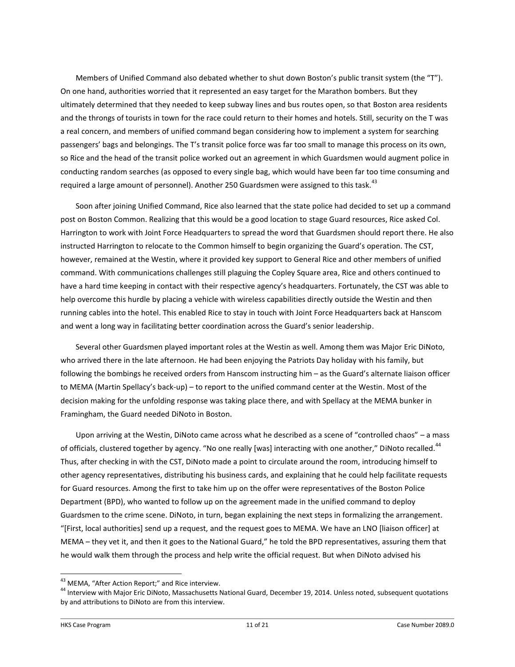Members of Unified Command also debated whether to shut down Boston's public transit system (the "T"). On one hand, authorities worried that it represented an easy target for the Marathon bombers. But they ultimately determined that they needed to keep subway lines and bus routes open, so that Boston area residents and the throngs of tourists in town for the race could return to their homes and hotels. Still, security on the T was a real concern, and members of unified command began considering how to implement a system for searching passengers' bags and belongings. The T's transit police force was far too small to manage this process on its own, so Rice and the head of the transit police worked out an agreement in which Guardsmen would augment police in conducting random searches (as opposed to every single bag, which would have been far too time consuming and required a large amount of personnel). Another 250 Guardsmen were assigned to this task.<sup>43</sup>

Soon after joining Unified Command, Rice also learned that the state police had decided to set up a command post on Boston Common. Realizing that this would be a good location to stage Guard resources, Rice asked Col. Harrington to work with Joint Force Headquarters to spread the word that Guardsmen should report there. He also instructed Harrington to relocate to the Common himself to begin organizing the Guard's operation. The CST, however, remained at the Westin, where it provided key support to General Rice and other members of unified command. With communications challenges still plaguing the Copley Square area, Rice and others continued to have a hard time keeping in contact with their respective agency's headquarters. Fortunately, the CST was able to help overcome this hurdle by placing a vehicle with wireless capabilities directly outside the Westin and then running cables into the hotel. This enabled Rice to stay in touch with Joint Force Headquarters back at Hanscom and went a long way in facilitating better coordination across the Guard's senior leadership.

Several other Guardsmen played important roles at the Westin as well. Among them was Major Eric DiNoto, who arrived there in the late afternoon. He had been enjoying the Patriots Day holiday with his family, but following the bombings he received orders from Hanscom instructing him – as the Guard's alternate liaison officer to MEMA (Martin Spellacy's back-up) – to report to the unified command center at the Westin. Most of the decision making for the unfolding response was taking place there, and with Spellacy at the MEMA bunker in Framingham, the Guard needed DiNoto in Boston.

Upon arriving at the Westin, DiNoto came across what he described as a scene of "controlled chaos" – a mass of officials, clustered together by agency. "No one really [was] interacting with one another," DiNoto recalled.<sup>44</sup> Thus, after checking in with the CST, DiNoto made a point to circulate around the room, introducing himself to other agency representatives, distributing his business cards, and explaining that he could help facilitate requests for Guard resources. Among the first to take him up on the offer were representatives of the Boston Police Department (BPD), who wanted to follow up on the agreement made in the unified command to deploy Guardsmen to the crime scene. DiNoto, in turn, began explaining the next steps in formalizing the arrangement. "[First, local authorities] send up a request, and the request goes to MEMA. We have an LNO [liaison officer] at MEMA – they vet it, and then it goes to the National Guard," he told the BPD representatives, assuring them that he would walk them through the process and help write the official request. But when DiNoto advised his

<sup>&</sup>lt;sup>43</sup> MEMA, "After Action Report;" and Rice interview.

<sup>&</sup>lt;sup>44</sup> Interview with Major Eric DiNoto, Massachusetts National Guard, December 19, 2014. Unless noted, subsequent quotations by and attributions to DiNoto are from this interview.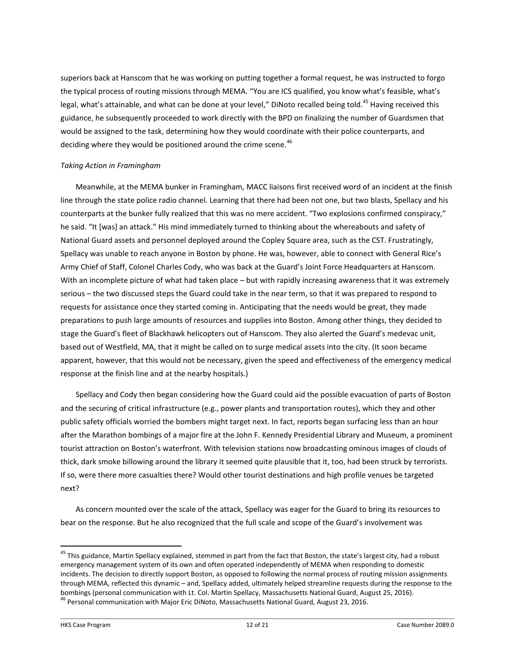superiors back at Hanscom that he was working on putting together a formal request, he was instructed to forgo the typical process of routing missions through MEMA. "You are ICS qualified, you know what's feasible, what's legal, what's attainable, and what can be done at your level," DiNoto recalled being told.<sup>45</sup> Having received this guidance, he subsequently proceeded to work directly with the BPD on finalizing the number of Guardsmen that would be assigned to the task, determining how they would coordinate with their police counterparts, and deciding where they would be positioned around the crime scene.<sup>46</sup>

# *Taking Action in Framingham*

Meanwhile, at the MEMA bunker in Framingham, MACC liaisons first received word of an incident at the finish line through the state police radio channel. Learning that there had been not one, but two blasts, Spellacy and his counterparts at the bunker fully realized that this was no mere accident. "Two explosions confirmed conspiracy," he said. "It [was] an attack." His mind immediately turned to thinking about the whereabouts and safety of National Guard assets and personnel deployed around the Copley Square area, such as the CST. Frustratingly, Spellacy was unable to reach anyone in Boston by phone. He was, however, able to connect with General Rice's Army Chief of Staff, Colonel Charles Cody, who was back at the Guard's Joint Force Headquarters at Hanscom. With an incomplete picture of what had taken place – but with rapidly increasing awareness that it was extremely serious – the two discussed steps the Guard could take in the near term, so that it was prepared to respond to requests for assistance once they started coming in. Anticipating that the needs would be great, they made preparations to push large amounts of resources and supplies into Boston. Among other things, they decided to stage the Guard's fleet of Blackhawk helicopters out of Hanscom. They also alerted the Guard's medevac unit, based out of Westfield, MA, that it might be called on to surge medical assets into the city. (It soon became apparent, however, that this would not be necessary, given the speed and effectiveness of the emergency medical response at the finish line and at the nearby hospitals.)

Spellacy and Cody then began considering how the Guard could aid the possible evacuation of parts of Boston and the securing of critical infrastructure (e.g., power plants and transportation routes), which they and other public safety officials worried the bombers might target next. In fact, reports began surfacing less than an hour after the Marathon bombings of a major fire at the John F. Kennedy Presidential Library and Museum, a prominent tourist attraction on Boston's waterfront. With television stations now broadcasting ominous images of clouds of thick, dark smoke billowing around the library it seemed quite plausible that it, too, had been struck by terrorists. If so, were there more casualties there? Would other tourist destinations and high profile venues be targeted next?

As concern mounted over the scale of the attack, Spellacy was eager for the Guard to bring its resources to bear on the response. But he also recognized that the full scale and scope of the Guard's involvement was

<sup>&</sup>lt;sup>45</sup> This guidance, Martin Spellacy explained, stemmed in part from the fact that Boston, the state's largest city, had a robust emergency management system of its own and often operated independently of MEMA when responding to domestic incidents. The decision to directly support Boston, as opposed to following the normal process of routing mission assignments through MEMA, reflected this dynamic – and, Spellacy added, ultimately helped streamline requests during the response to the bombings (personal communication with Lt. Col. Martin Spellacy, Massachusetts National Guard, August 25, 2016). <sup>46</sup> Personal communication with Major Eric DiNoto, Massachusetts National Guard, August 23, 2016.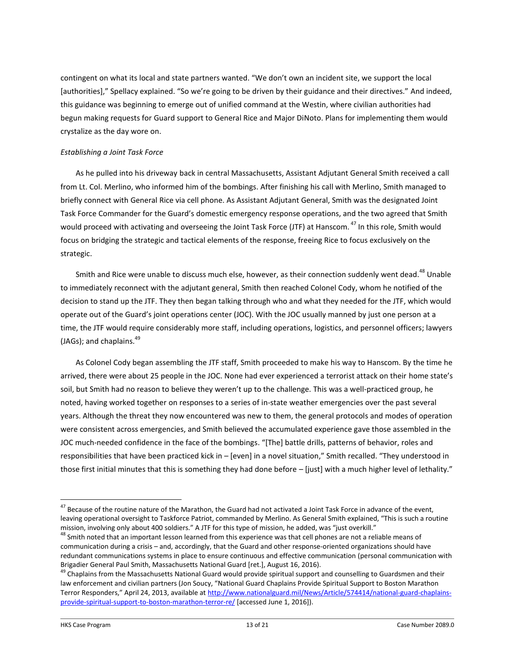contingent on what its local and state partners wanted. "We don't own an incident site, we support the local [authorities]," Spellacy explained. "So we're going to be driven by their guidance and their directives." And indeed, this guidance was beginning to emerge out of unified command at the Westin, where civilian authorities had begun making requests for Guard support to General Rice and Major DiNoto. Plans for implementing them would crystalize as the day wore on.

#### *Establishing a Joint Task Force*

As he pulled into his driveway back in central Massachusetts, Assistant Adjutant General Smith received a call from Lt. Col. Merlino, who informed him of the bombings. After finishing his call with Merlino, Smith managed to briefly connect with General Rice via cell phone. As Assistant Adjutant General, Smith was the designated Joint Task Force Commander for the Guard's domestic emergency response operations, and the two agreed that Smith would proceed with activating and overseeing the Joint Task Force (JTF) at Hanscom. <sup>47</sup> In this role, Smith would focus on bridging the strategic and tactical elements of the response, freeing Rice to focus exclusively on the strategic.

Smith and Rice were unable to discuss much else, however, as their connection suddenly went dead.<sup>48</sup> Unable to immediately reconnect with the adjutant general, Smith then reached Colonel Cody, whom he notified of the decision to stand up the JTF. They then began talking through who and what they needed for the JTF, which would operate out of the Guard's joint operations center (JOC). With the JOC usually manned by just one person at a time, the JTF would require considerably more staff, including operations, logistics, and personnel officers; lawyers  $(JAGs)$ ; and chaplains. $^{49}$ 

As Colonel Cody began assembling the JTF staff, Smith proceeded to make his way to Hanscom. By the time he arrived, there were about 25 people in the JOC. None had ever experienced a terrorist attack on their home state's soil, but Smith had no reason to believe they weren't up to the challenge. This was a well-practiced group, he noted, having worked together on responses to a series of in-state weather emergencies over the past several years. Although the threat they now encountered was new to them, the general protocols and modes of operation were consistent across emergencies, and Smith believed the accumulated experience gave those assembled in the JOC much-needed confidence in the face of the bombings. "[The] battle drills, patterns of behavior, roles and responsibilities that have been practiced kick in – [even] in a novel situation," Smith recalled. "They understood in those first initial minutes that this is something they had done before – [just] with a much higher level of lethality."

<sup>&</sup>lt;sup>47</sup> Because of the routine nature of the Marathon, the Guard had not activated a Joint Task Force in advance of the event, leaving operational oversight to Taskforce Patriot, commanded by Merlino. As General Smith explained, "This is such a routine mission, involving only about 400 soldiers." A JTF for this type of mission, he added, was "just overkill."

<sup>&</sup>lt;sup>48</sup> Smith noted that an important lesson learned from this experience was that cell phones are not a reliable means of communication during a crisis – and, accordingly, that the Guard and other response-oriented organizations should have redundant communications systems in place to ensure continuous and effective communication (personal communication with Brigadier General Paul Smith, Massachusetts National Guard [ret.], August 16, 2016).

<sup>&</sup>lt;sup>49</sup> Chaplains from the Massachusetts National Guard would provide spiritual support and counselling to Guardsmen and their law enforcement and civilian partners (Jon Soucy, "National Guard Chaplains Provide Spiritual Support to Boston Marathon Terror Responders," April 24, 2013, available at [http://www.nationalguard.mil/News/Article/574414/national-guard-chaplains](http://www.nationalguard.mil/News/Article/574414/national-guard-chaplains-provide-spiritual-support-to-boston-marathon-terror-re/)[provide-spiritual-support-to-boston-marathon-terror-re/](http://www.nationalguard.mil/News/Article/574414/national-guard-chaplains-provide-spiritual-support-to-boston-marathon-terror-re/) [accessed June 1, 2016]).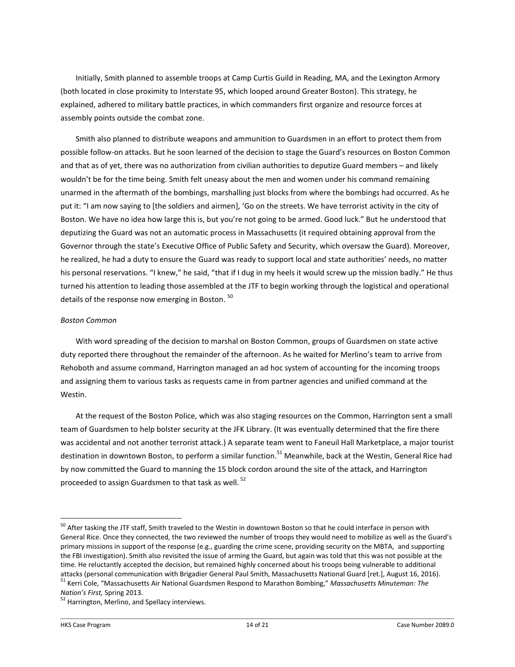Initially, Smith planned to assemble troops at Camp Curtis Guild in Reading, MA, and the Lexington Armory (both located in close proximity to Interstate 95, which looped around Greater Boston). This strategy, he explained, adhered to military battle practices, in which commanders first organize and resource forces at assembly points outside the combat zone.

Smith also planned to distribute weapons and ammunition to Guardsmen in an effort to protect them from possible follow-on attacks. But he soon learned of the decision to stage the Guard's resources on Boston Common and that as of yet, there was no authorization from civilian authorities to deputize Guard members – and likely wouldn't be for the time being. Smith felt uneasy about the men and women under his command remaining unarmed in the aftermath of the bombings, marshalling just blocks from where the bombings had occurred. As he put it: "I am now saying to [the soldiers and airmen], 'Go on the streets. We have terrorist activity in the city of Boston. We have no idea how large this is, but you're not going to be armed. Good luck." But he understood that deputizing the Guard was not an automatic process in Massachusetts (it required obtaining approval from the Governor through the state's Executive Office of Public Safety and Security, which oversaw the Guard). Moreover, he realized, he had a duty to ensure the Guard was ready to support local and state authorities' needs, no matter his personal reservations. "I knew," he said, "that if I dug in my heels it would screw up the mission badly." He thus turned his attention to leading those assembled at the JTF to begin working through the logistical and operational details of the response now emerging in Boston. <sup>50</sup>

#### *Boston Common*

With word spreading of the decision to marshal on Boston Common, groups of Guardsmen on state active duty reported there throughout the remainder of the afternoon. As he waited for Merlino's team to arrive from Rehoboth and assume command, Harrington managed an ad hoc system of accounting for the incoming troops and assigning them to various tasks as requests came in from partner agencies and unified command at the Westin.

At the request of the Boston Police, which was also staging resources on the Common, Harrington sent a small team of Guardsmen to help bolster security at the JFK Library. (It was eventually determined that the fire there was accidental and not another terrorist attack.) A separate team went to Faneuil Hall Marketplace, a major tourist destination in downtown Boston, to perform a similar function.<sup>51</sup> Meanwhile, back at the Westin, General Rice had by now committed the Guard to manning the 15 block cordon around the site of the attack, and Harrington proceeded to assign Guardsmen to that task as well. <sup>52</sup>

<sup>&</sup>lt;sup>50</sup> After tasking the JTF staff, Smith traveled to the Westin in downtown Boston so that he could interface in person with General Rice. Once they connected, the two reviewed the number of troops they would need to mobilize as well as the Guard's primary missions in support of the response (e.g., guarding the crime scene, providing security on the MBTA, and supporting the FBI investigation). Smith also revisited the issue of arming the Guard, but again was told that this was not possible at the time. He reluctantly accepted the decision, but remained highly concerned about his troops being vulnerable to additional attacks (personal communication with Brigadier General Paul Smith, Massachusetts National Guard [ret.], August 16, 2016). <sup>51</sup> Kerri Cole, "Massachusetts Air National Guardsmen Respond to Marathon Bombing," *Massachusetts Minuteman: The* 

*Nation's First,* Spring 2013.

<sup>&</sup>lt;sup>52</sup> Harrington, Merlino, and Spellacy interviews.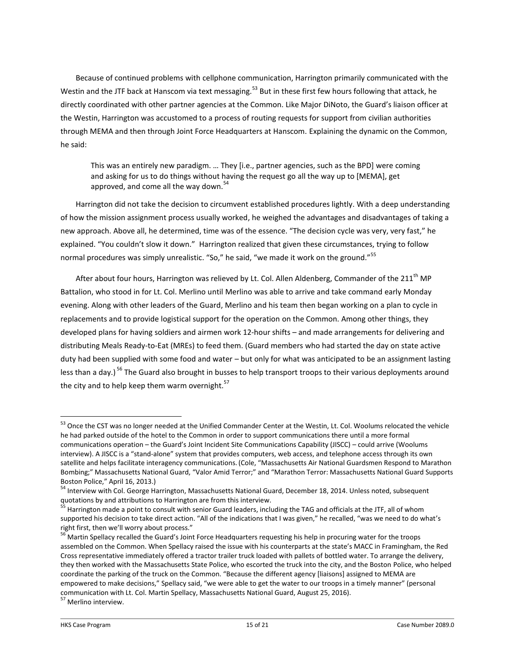Because of continued problems with cellphone communication, Harrington primarily communicated with the Westin and the JTF back at Hanscom via text messaging.<sup>53</sup> But in these first few hours following that attack, he directly coordinated with other partner agencies at the Common. Like Major DiNoto, the Guard's liaison officer at the Westin, Harrington was accustomed to a process of routing requests for support from civilian authorities through MEMA and then through Joint Force Headquarters at Hanscom. Explaining the dynamic on the Common, he said:

This was an entirely new paradigm. … They [i.e., partner agencies, such as the BPD] were coming and asking for us to do things without having the request go all the way up to [MEMA], get approved, and come all the way down. $54$ 

Harrington did not take the decision to circumvent established procedures lightly. With a deep understanding of how the mission assignment process usually worked, he weighed the advantages and disadvantages of taking a new approach. Above all, he determined, time was of the essence. "The decision cycle was very, very fast," he explained. "You couldn't slow it down." Harrington realized that given these circumstances, trying to follow normal procedures was simply unrealistic. "So," he said, "we made it work on the ground."<sup>55</sup>

After about four hours, Harrington was relieved by Lt. Col. Allen Aldenberg, Commander of the 211<sup>th</sup> MP Battalion, who stood in for Lt. Col. Merlino until Merlino was able to arrive and take command early Monday evening. Along with other leaders of the Guard, Merlino and his team then began working on a plan to cycle in replacements and to provide logistical support for the operation on the Common. Among other things, they developed plans for having soldiers and airmen work 12-hour shifts – and made arrangements for delivering and distributing Meals Ready-to-Eat (MREs) to feed them. (Guard members who had started the day on state active duty had been supplied with some food and water – but only for what was anticipated to be an assignment lasting less than a day.) <sup>56</sup> The Guard also brought in busses to help transport troops to their various deployments around the city and to help keep them warm overnight.<sup>57</sup>

<sup>53</sup> Once the CST was no longer needed at the Unified Commander Center at the Westin, Lt. Col. Woolums relocated the vehicle he had parked outside of the hotel to the Common in order to support communications there until a more formal communications operation – the Guard's Joint Incident Site Communications Capability (JISCC) – could arrive (Woolums interview). A JISCC is a "stand-alone" system that provides computers, web access, and telephone access through its own satellite and helps facilitate interagency communications. (Cole, "Massachusetts Air National Guardsmen Respond to Marathon Bombing;" Massachusetts National Guard, "Valor Amid Terror;" and "Marathon Terror: Massachusetts National Guard Supports Boston Police," April 16, 2013.)

<sup>&</sup>lt;sup>54</sup> Interview with Col. George Harrington, Massachusetts National Guard, December 18, 2014. Unless noted, subsequent quotations by and attributions to Harrington are from this interview.

<sup>&</sup>lt;sup>55</sup> Harrington made a point to consult with senior Guard leaders, including the TAG and officials at the JTF, all of whom supported his decision to take direct action. "All of the indications that I was given," he recalled, "was we need to do what's right first, then we'll worry about process."

<sup>&</sup>lt;sup>56</sup> Martin Spellacy recalled the Guard's Joint Force Headquarters requesting his help in procuring water for the troops assembled on the Common. When Spellacy raised the issue with his counterparts at the state's MACC in Framingham, the Red Cross representative immediately offered a tractor trailer truck loaded with pallets of bottled water. To arrange the delivery, they then worked with the Massachusetts State Police, who escorted the truck into the city, and the Boston Police, who helped coordinate the parking of the truck on the Common. "Because the different agency [liaisons] assigned to MEMA are empowered to make decisions," Spellacy said, "we were able to get the water to our troops in a timely manner" (personal communication with Lt. Col. Martin Spellacy, Massachusetts National Guard, August 25, 2016).

<sup>&</sup>lt;sup>57</sup> Merlino interview.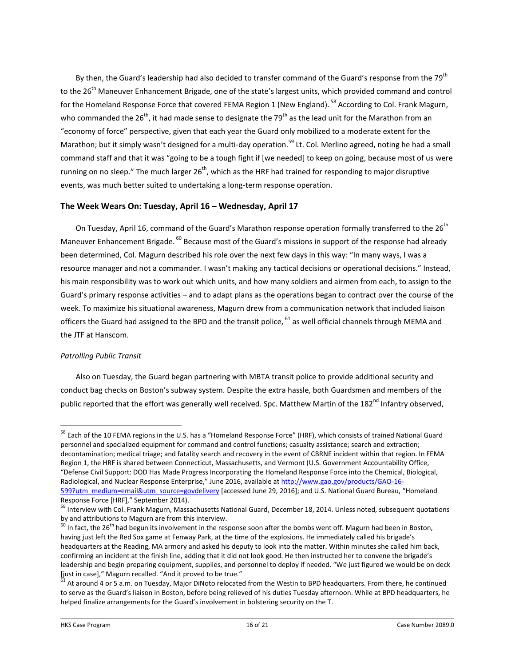By then, the Guard's leadership had also decided to transfer command of the Guard's response from the 79<sup>th</sup> to the 26<sup>th</sup> Maneuver Enhancement Brigade, one of the state's largest units, which provided command and control for the Homeland Response Force that covered FEMA Region 1 (New England). <sup>58</sup> According to Col. Frank Magurn, who commanded the  $26^{th}$ , it had made sense to designate the  $79^{th}$  as the lead unit for the Marathon from an "economy of force" perspective, given that each year the Guard only mobilized to a moderate extent for the Marathon; but it simply wasn't designed for a multi-day operation.<sup>59</sup> Lt. Col. Merlino agreed, noting he had a small command staff and that it was "going to be a tough fight if [we needed] to keep on going, because most of us were running on no sleep." The much larger  $26^{th}$ , which as the HRF had trained for responding to major disruptive events, was much better suited to undertaking a long-term response operation.

# **The Week Wears On: Tuesday, April 16 – Wednesday, April 17**

On Tuesday, April 16, command of the Guard's Marathon response operation formally transferred to the 26<sup>th</sup> Maneuver Enhancement Brigade. <sup>60</sup> Because most of the Guard's missions in support of the response had already been determined, Col. Magurn described his role over the next few days in this way: "In many ways, I was a resource manager and not a commander. I wasn't making any tactical decisions or operational decisions." Instead, his main responsibility was to work out which units, and how many soldiers and airmen from each, to assign to the Guard's primary response activities – and to adapt plans as the operations began to contract over the course of the week. To maximize his situational awareness, Magurn drew from a communication network that included liaison officers the Guard had assigned to the BPD and the transit police,  $^{61}$  as well official channels through MEMA and the JTF at Hanscom.

# *Patrolling Public Transit*

 $\overline{a}$ 

Also on Tuesday, the Guard began partnering with MBTA transit police to provide additional security and conduct bag checks on Boston's subway system. Despite the extra hassle, both Guardsmen and members of the public reported that the effort was generally well received. Spc. Matthew Martin of the 182<sup>nd</sup> Infantry observed,

<sup>&</sup>lt;sup>58</sup> Each of the 10 FEMA regions in the U.S. has a "Homeland Response Force" (HRF), which consists of trained National Guard personnel and specialized equipment for command and control functions; casualty assistance; search and extraction; decontamination; medical triage; and fatality search and recovery in the event of CBRNE incident within that region. In FEMA Region 1, the HRF is shared between Connecticut, Massachusetts, and Vermont (U.S. Government Accountability Office, "Defense Civil Support: DOD Has Made Progress Incorporating the Homeland Response Force into the Chemical, Biological, Radiological, and Nuclear Response Enterprise," June 2016, available at [http://www.gao.gov/products/GAO-16-](http://www.gao.gov/products/GAO-16-599?utm_medium=email&utm_source=govdelivery) [599?utm\\_medium=email&utm\\_source=govdelivery](http://www.gao.gov/products/GAO-16-599?utm_medium=email&utm_source=govdelivery) [accessed June 29, 2016]; and U.S. National Guard Bureau, "Homeland Response Force [HRF]," September 2014).

<sup>&</sup>lt;sup>59</sup> Interview with Col. Frank Magurn, Massachusetts National Guard, December 18, 2014. Unless noted, subsequent quotations by and attributions to Magurn are from this interview.

 $^{60}$  In fact, the 26<sup>th</sup> had begun its involvement in the response soon after the bombs went off. Magurn had been in Boston, having just left the Red Sox game at Fenway Park, at the time of the explosions. He immediately called his brigade's headquarters at the Reading, MA armory and asked his deputy to look into the matter. Within minutes she called him back, confirming an incident at the finish line, adding that it did not look good. He then instructed her to convene the brigade's leadership and begin preparing equipment, supplies, and personnel to deploy if needed. "We just figured we would be on deck  $[$ just in case]," Magurn recalled. "And it proved to be true."

 $^1$  At around 4 or 5 a.m. on Tuesday, Major DiNoto relocated from the Westin to BPD headquarters. From there, he continued to serve as the Guard's liaison in Boston, before being relieved of his duties Tuesday afternoon. While at BPD headquarters, he helped finalize arrangements for the Guard's involvement in bolstering security on the T.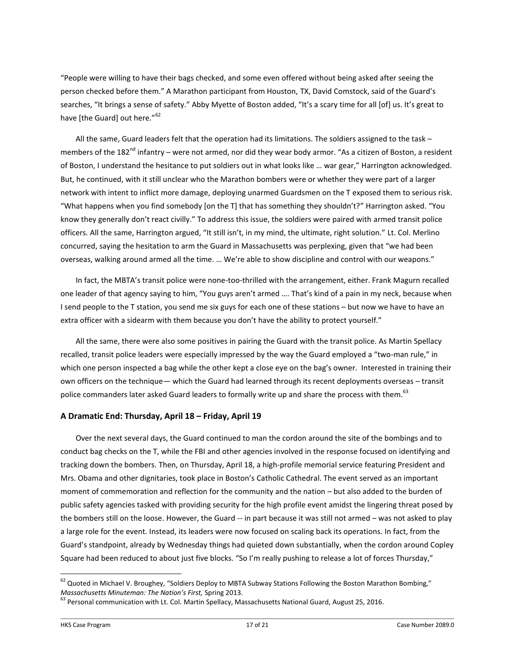"People were willing to have their bags checked, and some even offered without being asked after seeing the person checked before them." A Marathon participant from Houston, TX, David Comstock, said of the Guard's searches, "It brings a sense of safety." Abby Myette of Boston added, "It's a scary time for all [of] us. It's great to have [the Guard] out here."<sup>62</sup>

All the same, Guard leaders felt that the operation had its limitations. The soldiers assigned to the task – members of the 182<sup>nd</sup> infantry – were not armed, nor did they wear body armor. "As a citizen of Boston, a resident of Boston, I understand the hesitance to put soldiers out in what looks like … war gear," Harrington acknowledged. But, he continued, with it still unclear who the Marathon bombers were or whether they were part of a larger network with intent to inflict more damage, deploying unarmed Guardsmen on the T exposed them to serious risk. "What happens when you find somebody [on the T] that has something they shouldn't?" Harrington asked. "You know they generally don't react civilly." To address this issue, the soldiers were paired with armed transit police officers. All the same, Harrington argued, "It still isn't, in my mind, the ultimate, right solution." Lt. Col. Merlino concurred, saying the hesitation to arm the Guard in Massachusetts was perplexing, given that "we had been overseas, walking around armed all the time. … We're able to show discipline and control with our weapons."

In fact, the MBTA's transit police were none-too-thrilled with the arrangement, either. Frank Magurn recalled one leader of that agency saying to him, "You guys aren't armed …. That's kind of a pain in my neck, because when I send people to the T station, you send me six guys for each one of these stations – but now we have to have an extra officer with a sidearm with them because you don't have the ability to protect yourself."

All the same, there were also some positives in pairing the Guard with the transit police. As Martin Spellacy recalled, transit police leaders were especially impressed by the way the Guard employed a "two-man rule," in which one person inspected a bag while the other kept a close eye on the bag's owner. Interested in training their own officers on the technique— which the Guard had learned through its recent deployments overseas – transit police commanders later asked Guard leaders to formally write up and share the process with them. <sup>63</sup>

# **A Dramatic End: Thursday, April 18 – Friday, April 19**

Over the next several days, the Guard continued to man the cordon around the site of the bombings and to conduct bag checks on the T, while the FBI and other agencies involved in the response focused on identifying and tracking down the bombers. Then, on Thursday, April 18, a high-profile memorial service featuring President and Mrs. Obama and other dignitaries, took place in Boston's Catholic Cathedral. The event served as an important moment of commemoration and reflection for the community and the nation – but also added to the burden of public safety agencies tasked with providing security for the high profile event amidst the lingering threat posed by the bombers still on the loose. However, the Guard -- in part because it was still not armed – was not asked to play a large role for the event. Instead, its leaders were now focused on scaling back its operations. In fact, from the Guard's standpoint, already by Wednesday things had quieted down substantially, when the cordon around Copley Square had been reduced to about just five blocks. "So I'm really pushing to release a lot of forces Thursday,"

<sup>&</sup>lt;sup>62</sup> Quoted in Michael V. Broughey, "Soldiers Deploy to MBTA Subway Stations Following the Boston Marathon Bombing," *Massachusetts Minuteman: The Nation's First,* Spring 2013.

<sup>&</sup>lt;sup>63</sup> Personal communication with Lt. Col. Martin Spellacy, Massachusetts National Guard, August 25, 2016.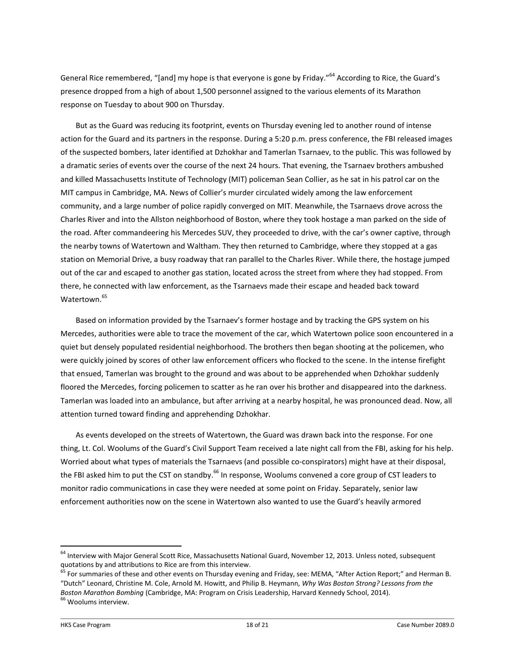General Rice remembered, "[and] my hope is that everyone is gone by Friday."<sup>64</sup> According to Rice, the Guard's presence dropped from a high of about 1,500 personnel assigned to the various elements of its Marathon response on Tuesday to about 900 on Thursday.

But as the Guard was reducing its footprint, events on Thursday evening led to another round of intense action for the Guard and its partners in the response. During a 5:20 p.m. press conference, the FBI released images of the suspected bombers, later identified at Dzhokhar and Tamerlan Tsarnaev, to the public. This was followed by a dramatic series of events over the course of the next 24 hours. That evening, the Tsarnaev brothers ambushed and killed Massachusetts Institute of Technology (MIT) policeman Sean Collier, as he sat in his patrol car on the MIT campus in Cambridge, MA. News of Collier's murder circulated widely among the law enforcement community, and a large number of police rapidly converged on MIT. Meanwhile, the Tsarnaevs drove across the Charles River and into the Allston neighborhood of Boston, where they took hostage a man parked on the side of the road. After commandeering his Mercedes SUV, they proceeded to drive, with the car's owner captive, through the nearby towns of Watertown and Waltham. They then returned to Cambridge, where they stopped at a gas station on Memorial Drive, a busy roadway that ran parallel to the Charles River. While there, the hostage jumped out of the car and escaped to another gas station, located across the street from where they had stopped. From there, he connected with law enforcement, as the Tsarnaevs made their escape and headed back toward Watertown<sup>65</sup>

Based on information provided by the Tsarnaev's former hostage and by tracking the GPS system on his Mercedes, authorities were able to trace the movement of the car, which Watertown police soon encountered in a quiet but densely populated residential neighborhood. The brothers then began shooting at the policemen, who were quickly joined by scores of other law enforcement officers who flocked to the scene. In the intense firefight that ensued, Tamerlan was brought to the ground and was about to be apprehended when Dzhokhar suddenly floored the Mercedes, forcing policemen to scatter as he ran over his brother and disappeared into the darkness. Tamerlan was loaded into an ambulance, but after arriving at a nearby hospital, he was pronounced dead. Now, all attention turned toward finding and apprehending Dzhokhar.

As events developed on the streets of Watertown, the Guard was drawn back into the response. For one thing, Lt. Col. Woolums of the Guard's Civil Support Team received a late night call from the FBI, asking for his help. Worried about what types of materials the Tsarnaevs (and possible co-conspirators) might have at their disposal, the FBI asked him to put the CST on standby.<sup>66</sup> In response, Woolums convened a core group of CST leaders to monitor radio communications in case they were needed at some point on Friday. Separately, senior law enforcement authorities now on the scene in Watertown also wanted to use the Guard's heavily armored

<sup>&</sup>lt;sup>64</sup> Interview with Major General Scott Rice, Massachusetts National Guard, November 12, 2013. Unless noted, subsequent quotations by and attributions to Rice are from this interview.

<sup>&</sup>lt;sup>65</sup> For summaries of these and other events on Thursday evening and Friday, see: MEMA, "After Action Report;" and Herman B. "Dutch" Leonard, Christine M. Cole, Arnold M. Howitt, and Philip B. Heymann, *Why Was Boston Strong? Lessons from the Boston Marathon Bombing* (Cambridge, MA: Program on Crisis Leadership, Harvard Kennedy School, 2014). <sup>66</sup> Woolums interview.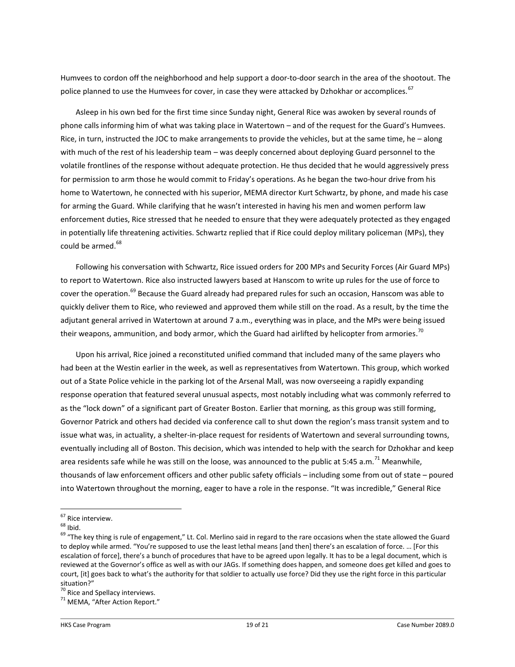Humvees to cordon off the neighborhood and help support a door-to-door search in the area of the shootout. The police planned to use the Humvees for cover, in case they were attacked by Dzhokhar or accomplices.<sup>67</sup>

Asleep in his own bed for the first time since Sunday night, General Rice was awoken by several rounds of phone calls informing him of what was taking place in Watertown – and of the request for the Guard's Humvees. Rice, in turn, instructed the JOC to make arrangements to provide the vehicles, but at the same time, he – along with much of the rest of his leadership team – was deeply concerned about deploying Guard personnel to the volatile frontlines of the response without adequate protection. He thus decided that he would aggressively press for permission to arm those he would commit to Friday's operations. As he began the two-hour drive from his home to Watertown, he connected with his superior, MEMA director Kurt Schwartz, by phone, and made his case for arming the Guard. While clarifying that he wasn't interested in having his men and women perform law enforcement duties, Rice stressed that he needed to ensure that they were adequately protected as they engaged in potentially life threatening activities. Schwartz replied that if Rice could deploy military policeman (MPs), they could be armed.<sup>68</sup>

Following his conversation with Schwartz, Rice issued orders for 200 MPs and Security Forces (Air Guard MPs) to report to Watertown. Rice also instructed lawyers based at Hanscom to write up rules for the use of force to cover the operation.<sup>69</sup> Because the Guard already had prepared rules for such an occasion, Hanscom was able to quickly deliver them to Rice, who reviewed and approved them while still on the road. As a result, by the time the adjutant general arrived in Watertown at around 7 a.m., everything was in place, and the MPs were being issued their weapons, ammunition, and body armor, which the Guard had airlifted by helicopter from armories.  $^{70}$ 

Upon his arrival, Rice joined a reconstituted unified command that included many of the same players who had been at the Westin earlier in the week, as well as representatives from Watertown. This group, which worked out of a State Police vehicle in the parking lot of the Arsenal Mall, was now overseeing a rapidly expanding response operation that featured several unusual aspects, most notably including what was commonly referred to as the "lock down" of a significant part of Greater Boston. Earlier that morning, as this group was still forming, Governor Patrick and others had decided via conference call to shut down the region's mass transit system and to issue what was, in actuality, a shelter-in-place request for residents of Watertown and several surrounding towns, eventually including all of Boston. This decision, which was intended to help with the search for Dzhokhar and keep area residents safe while he was still on the loose, was announced to the public at 5:45 a.m.<sup>71</sup> Meanwhile. thousands of law enforcement officers and other public safety officials – including some from out of state – poured into Watertown throughout the morning, eager to have a role in the response. "It was incredible," General Rice

<sup>&</sup>lt;sup>67</sup> Rice interview.

 $68$  Ibid.

 $69$  "The key thing is rule of engagement," Lt. Col. Merlino said in regard to the rare occasions when the state allowed the Guard to deploy while armed. "You're supposed to use the least lethal means [and then] there's an escalation of force. … [For this escalation of force], there's a bunch of procedures that have to be agreed upon legally. It has to be a legal document, which is reviewed at the Governor's office as well as with our JAGs. If something does happen, and someone does get killed and goes to court, [it] goes back to what's the authority for that soldier to actually use force? Did they use the right force in this particular situation?"

<sup>&</sup>lt;sup>70</sup> Rice and Spellacy interviews.

<sup>&</sup>lt;sup>71</sup> MEMA, "After Action Report."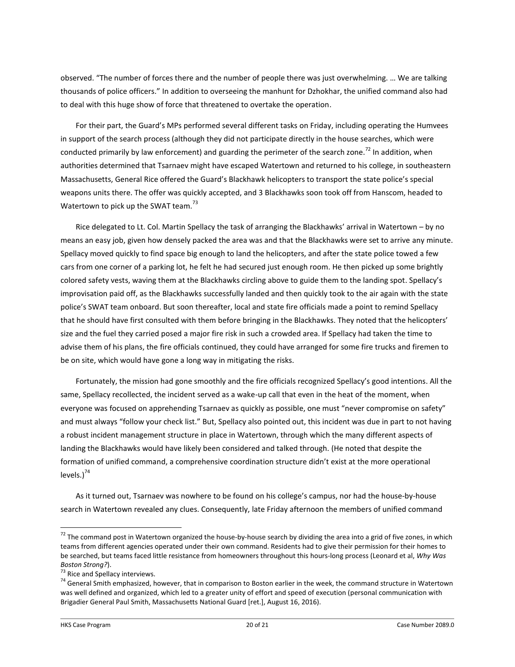observed. "The number of forces there and the number of people there was just overwhelming. … We are talking thousands of police officers." In addition to overseeing the manhunt for Dzhokhar, the unified command also had to deal with this huge show of force that threatened to overtake the operation.

For their part, the Guard's MPs performed several different tasks on Friday, including operating the Humvees in support of the search process (although they did not participate directly in the house searches, which were conducted primarily by law enforcement) and guarding the perimeter of the search zone.<sup>72</sup> In addition, when authorities determined that Tsarnaev might have escaped Watertown and returned to his college, in southeastern Massachusetts, General Rice offered the Guard's Blackhawk helicopters to transport the state police's special weapons units there. The offer was quickly accepted, and 3 Blackhawks soon took off from Hanscom, headed to Watertown to pick up the SWAT team. $^{73}$ 

Rice delegated to Lt. Col. Martin Spellacy the task of arranging the Blackhawks' arrival in Watertown – by no means an easy job, given how densely packed the area was and that the Blackhawks were set to arrive any minute. Spellacy moved quickly to find space big enough to land the helicopters, and after the state police towed a few cars from one corner of a parking lot, he felt he had secured just enough room. He then picked up some brightly colored safety vests, waving them at the Blackhawks circling above to guide them to the landing spot. Spellacy's improvisation paid off, as the Blackhawks successfully landed and then quickly took to the air again with the state police's SWAT team onboard. But soon thereafter, local and state fire officials made a point to remind Spellacy that he should have first consulted with them before bringing in the Blackhawks. They noted that the helicopters' size and the fuel they carried posed a major fire risk in such a crowded area. If Spellacy had taken the time to advise them of his plans, the fire officials continued, they could have arranged for some fire trucks and firemen to be on site, which would have gone a long way in mitigating the risks.

Fortunately, the mission had gone smoothly and the fire officials recognized Spellacy's good intentions. All the same, Spellacy recollected, the incident served as a wake-up call that even in the heat of the moment, when everyone was focused on apprehending Tsarnaev as quickly as possible, one must "never compromise on safety" and must always "follow your check list." But, Spellacy also pointed out, this incident was due in part to not having a robust incident management structure in place in Watertown, through which the many different aspects of landing the Blackhawks would have likely been considered and talked through. (He noted that despite the formation of unified command, a comprehensive coordination structure didn't exist at the more operational levels.)<sup>74</sup>

As it turned out, Tsarnaev was nowhere to be found on his college's campus, nor had the house-by-house search in Watertown revealed any clues. Consequently, late Friday afternoon the members of unified command

 $72$  The command post in Watertown organized the house-by-house search by dividing the area into a grid of five zones, in which teams from different agencies operated under their own command. Residents had to give their permission for their homes to be searched, but teams faced little resistance from homeowners throughout this hours-long process (Leonard et al, *Why Was Boston Strong?*).

<sup>&</sup>lt;sup>73</sup> Rice and Spellacy interviews.

<sup>&</sup>lt;sup>74</sup> General Smith emphasized, however, that in comparison to Boston earlier in the week, the command structure in Watertown was well defined and organized, which led to a greater unity of effort and speed of execution (personal communication with Brigadier General Paul Smith, Massachusetts National Guard [ret.], August 16, 2016).